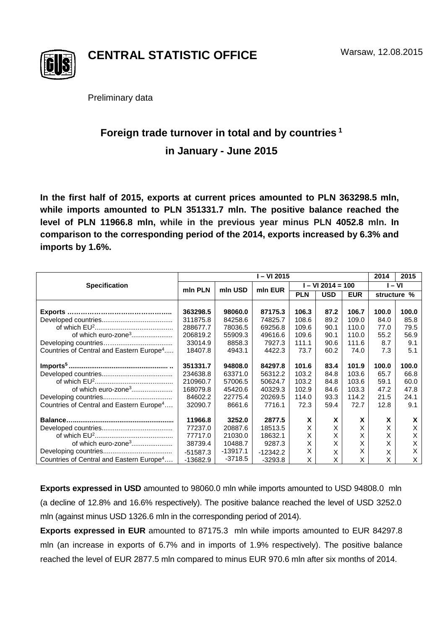

**CENTRAL STATISTIC OFFICE**

Preliminary data

## **Foreign trade turnover in total and by countries <sup>1</sup> in January - June 2015**

**In the first half of 2015, exports at current prices amounted to PLN 363298.5 mln, while imports amounted to PLN 351331.7 mln. The positive balance reached the level of PLN 11966.8 mln, while in the previous year minus PLN 4052.8 mln. In comparison to the corresponding period of the 2014, exports increased by 6.3% and imports by 1.6%.**

|                                                      | I – VI 2015 |            |            |                     |            |            | 2014   | 2015        |
|------------------------------------------------------|-------------|------------|------------|---------------------|------------|------------|--------|-------------|
| <b>Specification</b>                                 | min PLN     | mln USD    | min EUR    | $I - VI 2014 = 100$ |            |            | I – VI |             |
|                                                      |             |            |            | <b>PLN</b>          | <b>USD</b> | <b>EUR</b> |        | structure % |
|                                                      |             |            |            |                     |            |            |        |             |
|                                                      | 363298.5    | 98060.0    | 87175.3    | 106.3               | 87.2       | 106.7      | 100.0  | 100.0       |
|                                                      | 311875.8    | 84258.6    | 74825.7    | 108.6               | 89.2       | 109.0      | 84.0   | 85.8        |
|                                                      | 288677.7    | 78036.5    | 69256.8    | 109.6               | 90.1       | 110.0      | 77.0   | 79.5        |
| of which euro-zone <sup>3</sup>                      | 206819.2    | 55909.3    | 49616.6    | 109.6               | 90.1       | 110.0      | 55.2   | 56.9        |
|                                                      | 33014.9     | 8858.3     | 7927.3     | 111.1               | 90.6       | 111.6      | 8.7    | 9.1         |
| Countries of Central and Eastern Europe <sup>4</sup> | 18407.8     | 4943.1     | 4422.3     | 73.7                | 60.2       | 74.0       | 7.3    | 5.1         |
|                                                      | 351331.7    | 94808.0    | 84297.8    | 101.6               | 83.4       | 101.9      | 100.0  | 100.0       |
|                                                      | 234638.8    | 63371.0    | 56312.2    | 103.2               | 84.8       | 103.6      | 65.7   | 66.8        |
|                                                      | 210960.7    | 57006.5    | 50624.7    | 103.2               | 84.8       | 103.6      | 59.1   | 60.0        |
| of which euro-zone <sup>3</sup>                      | 168079.8    | 45420.6    | 40329.3    | 102.9               | 84.6       | 103.3      | 47.2   | 47.8        |
|                                                      | 84602.2     | 22775.4    | 20269.5    | 114.0               | 93.3       | 114.2      | 21.5   | 24.1        |
| Countries of Central and Eastern Europe <sup>4</sup> | 32090.7     | 8661.6     | 7716.1     | 72.3                | 59.4       | 72.7       | 12.8   | 9.1         |
|                                                      | 11966.8     | 3252.0     | 2877.5     | X                   | X          | X          | X      | X           |
|                                                      |             |            |            |                     |            |            |        |             |
|                                                      | 77237.0     | 20887.6    | 18513.5    | X                   | X          | X          | X      | Х           |
|                                                      | 77717.0     | 21030.0    | 18632.1    | X                   | Χ          | X          | X      | X           |
| of which euro-zone <sup>3</sup>                      | 38739.4     | 10488.7    | 9287.3     | X                   | X          | X          | X      | X           |
|                                                      | $-51587.3$  | $-13917.1$ | $-12342.2$ | X                   | X          | X          | Χ      | X           |
| Countries of Central and Eastern Europe <sup>4</sup> | $-13682.9$  | $-3718.5$  | $-3293.8$  | X                   | X          | X          | X      | X           |

**Exports expressed in USD** amounted to 98060.0 mln while imports amounted to USD 94808.0 mln (a decline of 12.8% and 16.6% respectively). The positive balance reached the level of USD 3252.0 mln (against minus USD 1326.6 mln in the corresponding period of 2014).

**Exports expressed in EUR** amounted to 87175.3 mln while imports amounted to EUR 84297.8 mln (an increase in exports of 6.7% and in imports of 1.9% respectively). The positive balance reached the level of EUR 2877.5 mln compared to minus EUR 970.6 mln after six months of 2014.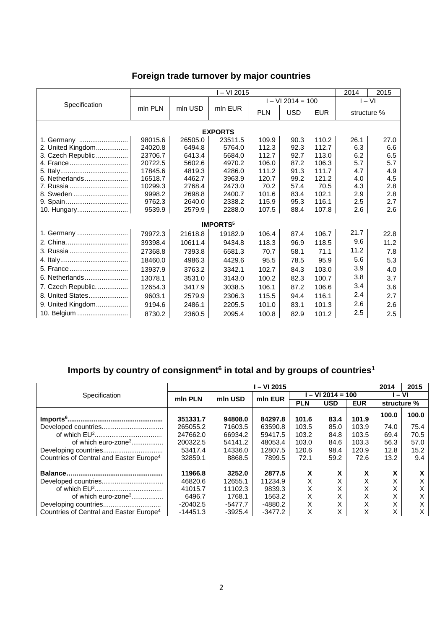## **Foreign trade turnover by major countries**

|                    | $-$ VI 2015 |         |                            |                  |            | 2014<br>2015 |             |      |  |  |
|--------------------|-------------|---------|----------------------------|------------------|------------|--------------|-------------|------|--|--|
| Specification      |             |         | mln EUR                    | $-VI$ 2014 = 100 |            |              | $I - VI$    |      |  |  |
|                    | mln PLN     | mln USD |                            | <b>PLN</b>       | <b>USD</b> | <b>EUR</b>   | structure % |      |  |  |
| <b>EXPORTS</b>     |             |         |                            |                  |            |              |             |      |  |  |
| 1. Germany         | 98015.6     | 26505.0 | 23511.5                    | 109.9            | 90.3       | 110.2        | 26.1        | 27.0 |  |  |
| 2. United Kingdom  | 24020.8     | 6494.8  | 5764.0                     | 112.3            | 92.3       | 112.7        | 6.3         | 6.6  |  |  |
| 3. Czech Republic  | 23706.7     | 6413.4  | 5684.0                     | 112.7            | 92.7       | 113.0        | 6.2         | 6.5  |  |  |
|                    | 20722.5     | 5602.6  | 4970.2                     | 106.0            | 87.2       | 106.3        | 5.7         | 5.7  |  |  |
|                    | 17845.6     | 4819.3  | 4286.0                     | 111.2            | 91.3       | 111.7        | 4.7         | 4.9  |  |  |
| 6. Netherlands     | 16518.7     | 4462.7  | 3963.9                     | 120.7            | 99.2       | 121.2        | 4.0         | 4.5  |  |  |
| 7. Russia          | 10299.3     | 2768.4  | 2473.0                     | 70.2             | 57.4       | 70.5         | 4.3         | 2.8  |  |  |
| 8. Sweden          | 9998.2      | 2698.8  | 2400.7                     | 101.6            | 83.4       | 102.1        | 2.9         | 2.8  |  |  |
|                    | 9762.3      | 2640.0  | 2338.2                     | 115.9            | 95.3       | 116.1        | 2.5         | 2.7  |  |  |
| 10. Hungary        | 9539.9      | 2579.9  | 2288.0                     | 107.5            | 88.4       | 107.8        | 2.6         | 2.6  |  |  |
|                    |             |         | <b>IMPORTS<sup>5</sup></b> |                  |            |              |             |      |  |  |
| 1. Germany         | 79972.3     | 21618.8 | 19182.9                    | 106.4            | 87.4       | 106.7        | 21.7        | 22.8 |  |  |
| 2. China           | 39398.4     | 10611.4 | 9434.8                     | 118.3            | 96.9       | 118.5        | 9.6         | 11.2 |  |  |
| 3. Russia          | 27368.8     | 7393.8  | 6581.3                     | 70.7             | 58.1       | 71.1         | 11.2        | 7.8  |  |  |
|                    | 18460.0     | 4986.3  | 4429.6                     | 95.5             | 78.5       | 95.9         | 5.6         | 5.3  |  |  |
|                    | 13937.9     | 3763.2  | 3342.1                     | 102.7            | 84.3       | 103.0        | 3.9         | 4.0  |  |  |
| 6. Netherlands     | 13078.1     | 3531.0  | 3143.0                     | 100.2            | 82.3       | 100.7        | 3.8         | 3.7  |  |  |
| 7. Czech Republic. | 12654.3     | 3417.9  | 3038.5                     | 106.1            | 87.2       | 106.6        | 3.4         | 3.6  |  |  |
| 8. United States   | 9603.1      | 2579.9  | 2306.3                     | 115.5            | 94.4       | 116.1        | 2.4         | 2.7  |  |  |
| 9. United Kingdom  | 9194.6      | 2486.1  | 2205.5                     | 101.0            | 83.1       | 101.3        | 2.6         | 2.6  |  |  |
| 10. Belgium        | 8730.2      | 2360.5  | 2095.4                     | 100.8            | 82.9       | 101.2        | 2.5         | 2.5  |  |  |

## **Imports by country of consignment6 in total and by groups of countries1**

|                                                     | l – VI 2015 |           |           |                   |            |            |             | 2015  |
|-----------------------------------------------------|-------------|-----------|-----------|-------------------|------------|------------|-------------|-------|
| Specification                                       | min PLN     | mln USD   | min EUR   | $-$ VI 2014 = 100 |            |            | $-VI$       |       |
|                                                     |             |           |           | <b>PLN</b>        | <b>USD</b> | <b>EUR</b> | structure % |       |
|                                                     | 351331.7    | 94808.0   | 84297.8   | 101.6             | 83.4       | 101.9      | 100.0       | 100.0 |
|                                                     | 265055.2    | 71603.5   | 63590.8   | 103.5             | 85.0       | 103.9      | 74.0        | 75.4  |
|                                                     | 247662.0    | 66934.2   | 59417.5   | 103.2             | 84.8       | 103.5      | 69.4        | 70.5  |
| of which euro-zone <sup>3</sup>                     | 200322.5    | 54141.2   | 48053.4   | 103.0             | 84.6       | 103.3      | 56.3        | 57.0  |
|                                                     | 53417.4     | 14336.0   | 12807.5   | 120.6             | 98.4       | 120.9      | 12.8        | 15.2  |
| Countries of Central and Easter Europe <sup>4</sup> | 32859.1     | 8868.5    | 7899.5    | 72.1              | 59.2       | 72.6       | 13.2        | 9.4   |
|                                                     | 11966.8     | 3252.0    | 2877.5    | X                 | X          |            | X           | x     |
| Developed countries                                 | 46820.6     | 12655.1   | 11234.9   | X                 | X          |            | X           |       |
|                                                     | 41015.7     | 11102.3   | 9839.3    | X                 |            |            | Χ           | Χ     |
| of which euro-zone <sup>3</sup>                     | 6496.7      | 1768.1    | 1563.2    | X                 | x          |            | Χ           |       |
|                                                     | $-20402.5$  | -5477.7   | -4880.2   | Х                 | X          |            | X           |       |
| Countries of Central and Easter Europe <sup>4</sup> | $-14451.3$  | $-3925.4$ | $-3477.2$ | X                 | x          |            | Χ           | х     |